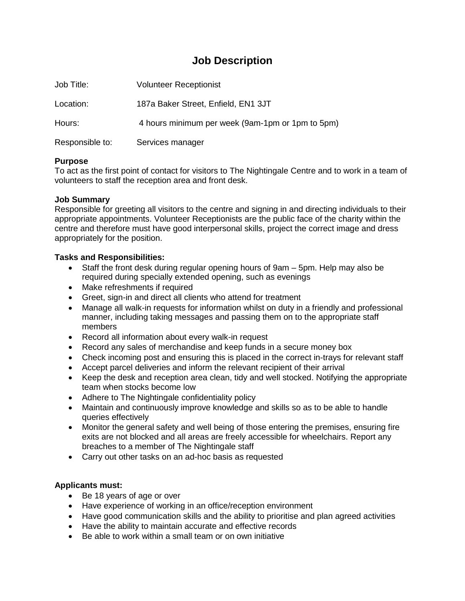# **Job Description**

| Job Title:      | <b>Volunteer Receptionist</b>                    |
|-----------------|--------------------------------------------------|
| Location:       | 187a Baker Street, Enfield, EN1 3JT              |
| Hours:          | 4 hours minimum per week (9am-1pm or 1pm to 5pm) |
| Responsible to: | Services manager                                 |

### **Purpose**

To act as the first point of contact for visitors to The Nightingale Centre and to work in a team of volunteers to staff the reception area and front desk.

### **Job Summary**

Responsible for greeting all visitors to the centre and signing in and directing individuals to their appropriate appointments. Volunteer Receptionists are the public face of the charity within the centre and therefore must have good interpersonal skills, project the correct image and dress appropriately for the position.

# **Tasks and Responsibilities:**

- Staff the front desk during regular opening hours of 9am 5pm. Help may also be required during specially extended opening, such as evenings
- Make refreshments if required
- Greet, sign-in and direct all clients who attend for treatment
- Manage all walk-in requests for information whilst on duty in a friendly and professional manner, including taking messages and passing them on to the appropriate staff members
- Record all information about every walk-in request
- Record any sales of merchandise and keep funds in a secure money box
- Check incoming post and ensuring this is placed in the correct in-trays for relevant staff
- Accept parcel deliveries and inform the relevant recipient of their arrival
- Keep the desk and reception area clean, tidy and well stocked. Notifying the appropriate team when stocks become low
- Adhere to The Nightingale confidentiality policy
- Maintain and continuously improve knowledge and skills so as to be able to handle queries effectively
- Monitor the general safety and well being of those entering the premises, ensuring fire exits are not blocked and all areas are freely accessible for wheelchairs. Report any breaches to a member of The Nightingale staff
- Carry out other tasks on an ad-hoc basis as requested

# **Applicants must:**

- Be 18 years of age or over
- Have experience of working in an office/reception environment
- Have good communication skills and the ability to prioritise and plan agreed activities
- Have the ability to maintain accurate and effective records
- Be able to work within a small team or on own initiative